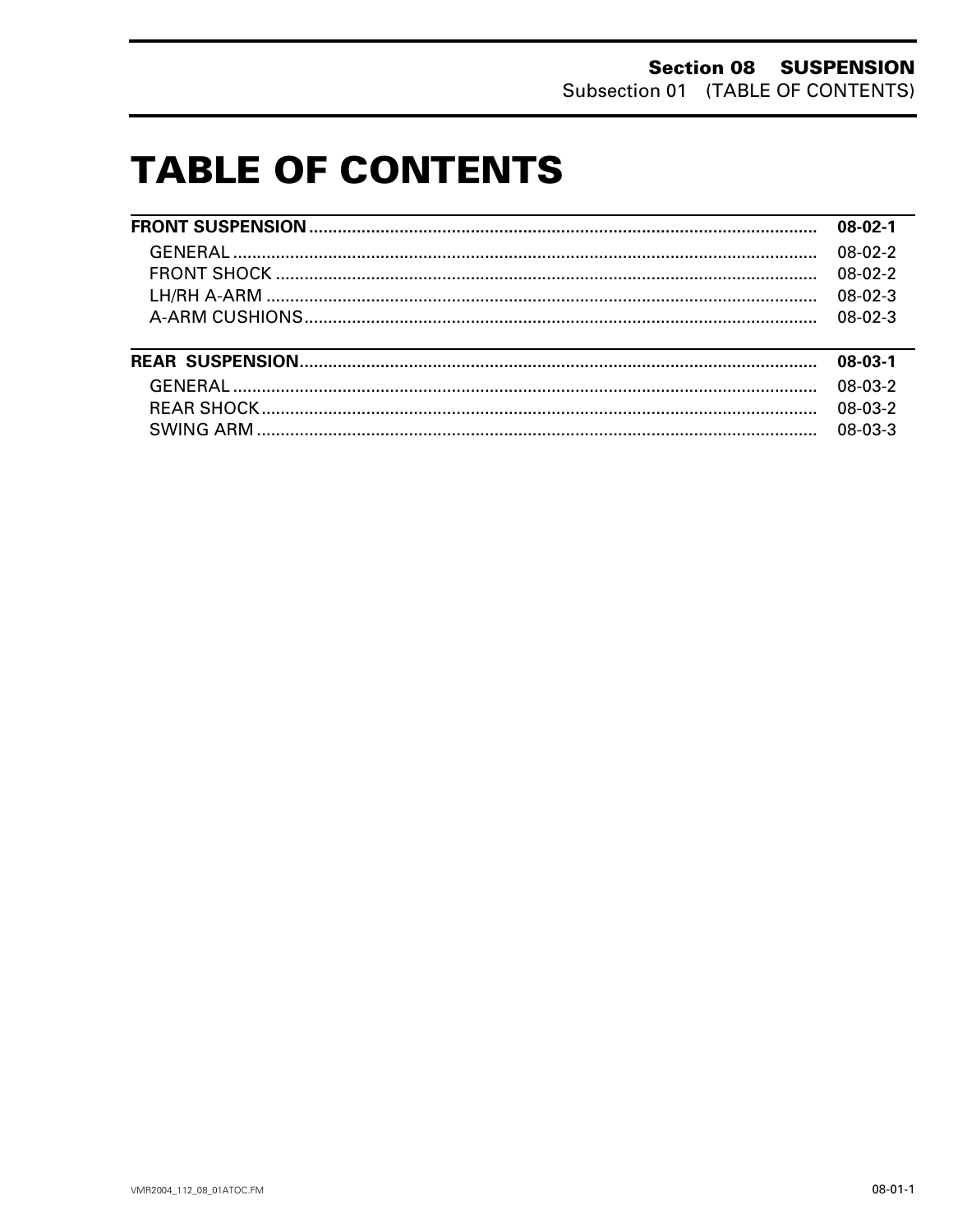# **TABLE OF CONTENTS**

|  |                                                                                                                       | $08-02-1$                         |  |           |
|--|-----------------------------------------------------------------------------------------------------------------------|-----------------------------------|--|-----------|
|  |                                                                                                                       | $08-02-2$<br>$08-02-2$<br>08-02-3 |  |           |
|  |                                                                                                                       |                                   |  |           |
|  | <u> 1989 - Johann Harry Harry Harry Harry Harry Harry Harry Harry Harry Harry Harry Harry Harry Harry Harry Harry</u> |                                   |  |           |
|  |                                                                                                                       |                                   |  | $08-03-1$ |
|  |                                                                                                                       |                                   |  |           |
|  |                                                                                                                       | 08-03-2                           |  |           |
|  |                                                                                                                       |                                   |  |           |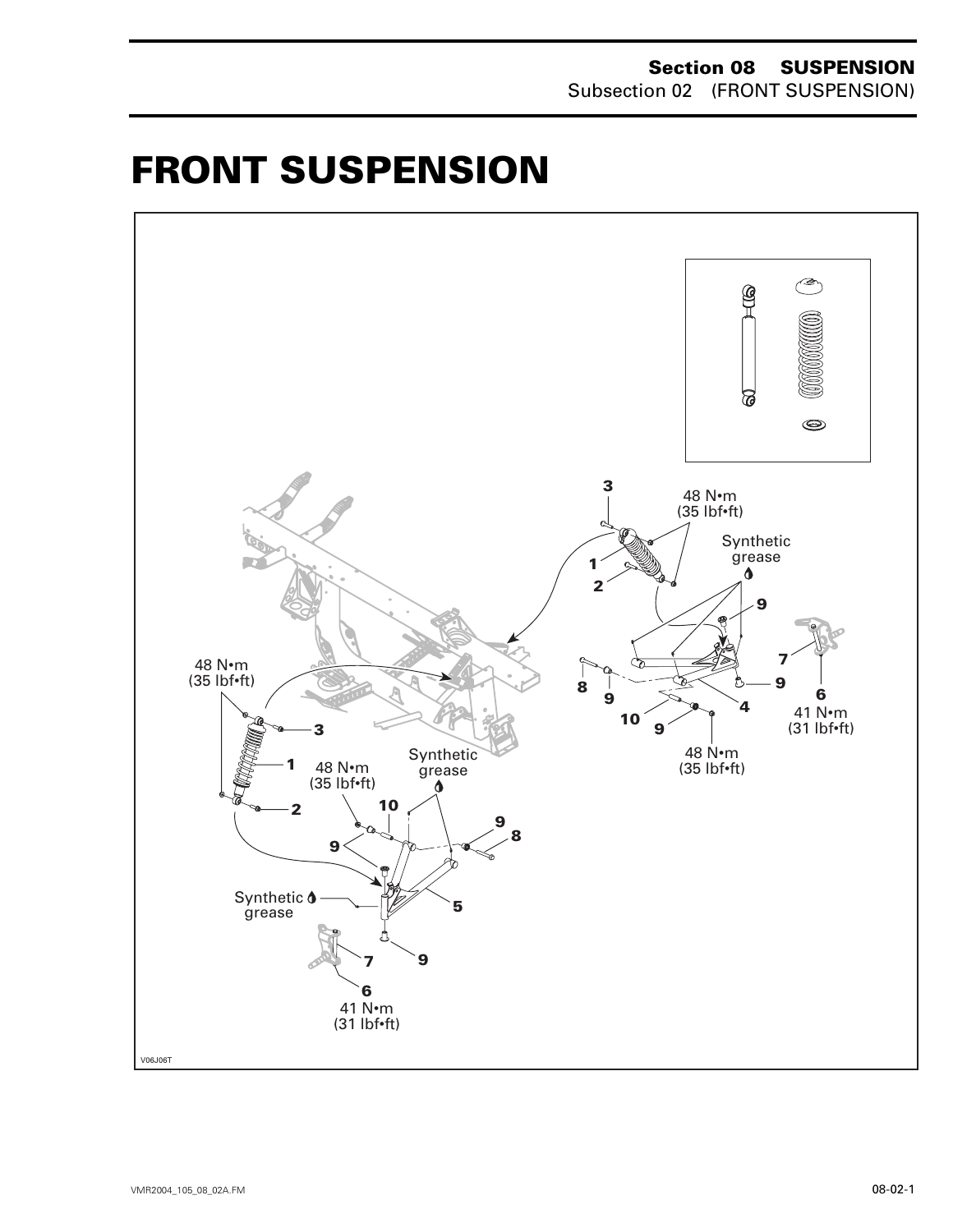# <span id="page-1-0"></span>**FRONT SUSPENSION 0**

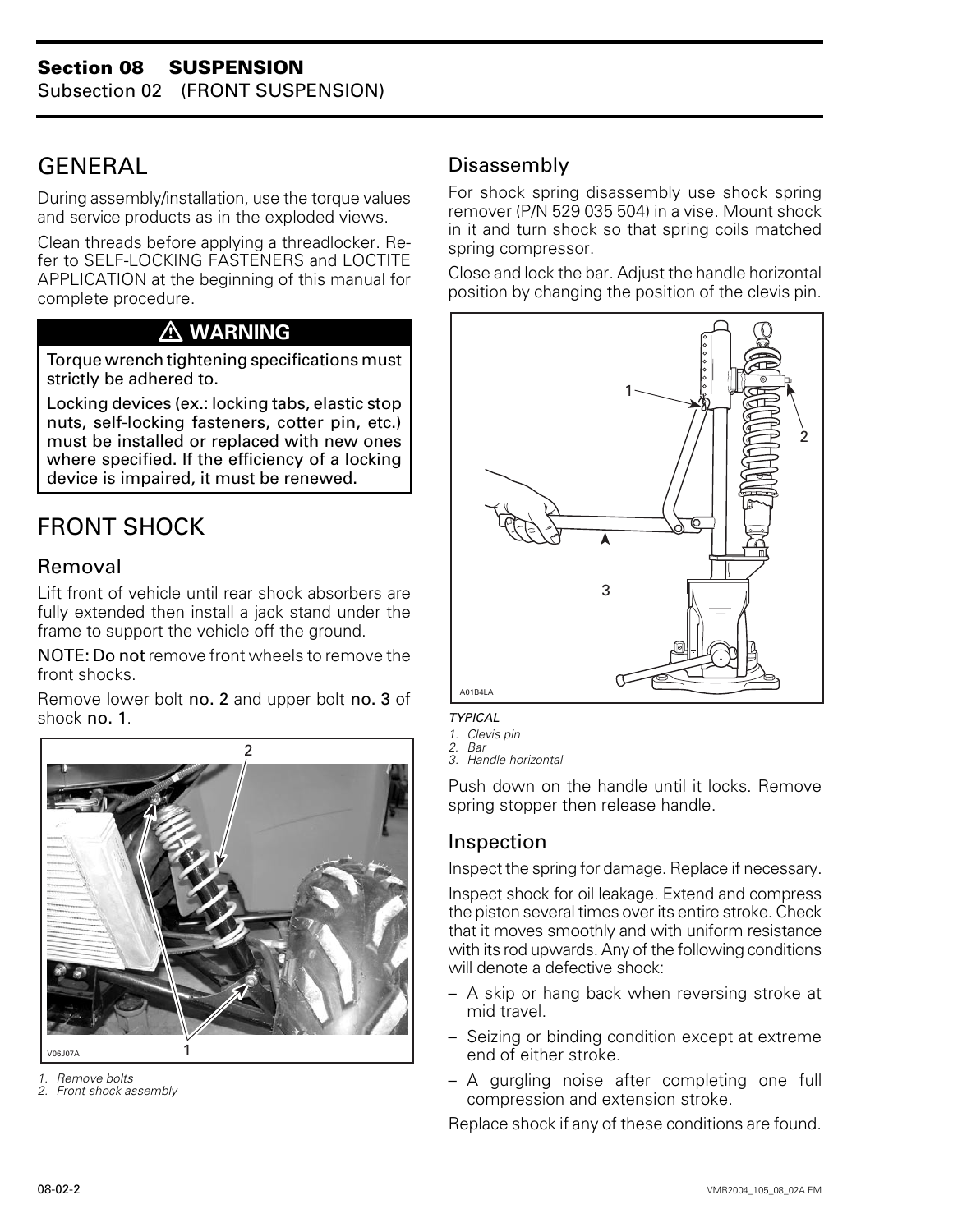# <span id="page-2-0"></span>GENERAL

During assembly/installation, use the torque values and service products as in the exploded views.

Clean threads before applying a threadlocker. Refer to SELF-LOCKING FASTENERS and LOCTITE APPLICATION at the beginning of this manual for complete procedure.

# **WARNING**

Torque wrench tightening specifications must strictly be adhered to.

Locking devices (ex.: locking tabs, elastic stop nuts, self-locking fasteners, cotter pin, etc.) must be installed or replaced with new ones where specified. If the efficiency of a locking device is impaired, it must be renewed.

# FRONT SHOCK

## Removal

Lift front of vehicle until rear shock absorbers are fully extended then install a jack stand under the frame to support the vehicle off the ground.

NOTE: Do not remove front wheels to remove the front shocks.

Remove lower bolt no. 2 and upper bolt no. 3 of shock no. 1.



*1. Remove bolts*

*2. Front shock assembly*

## Disassembly

For shock spring disassembly use shock spring remover (P/N 529 035 504) in a vise. Mount shock in it and turn shock so that spring coils matched spring compressor.

Close and lock the bar. Adjust the handle horizontal position by changing the position of the clevis pin.



*TYPICAL*

- *1. Clevis pin*
- *2. Bar*
- *3. Handle horizontal*

Push down on the handle until it locks. Remove spring stopper then release handle.

# Inspection

Inspect the spring for damage. Replace if necessary.

Inspect shock for oil leakage. Extend and compress the piston several times over its entire stroke. Check that it moves smoothly and with uniform resistance with its rod upwards. Any of the following conditions will denote a defective shock:

- A skip or hang back when reversing stroke at mid travel.
- Seizing or binding condition except at extreme end of either stroke.
- A gurgling noise after completing one full compression and extension stroke.

Replace shock if any of these conditions are found.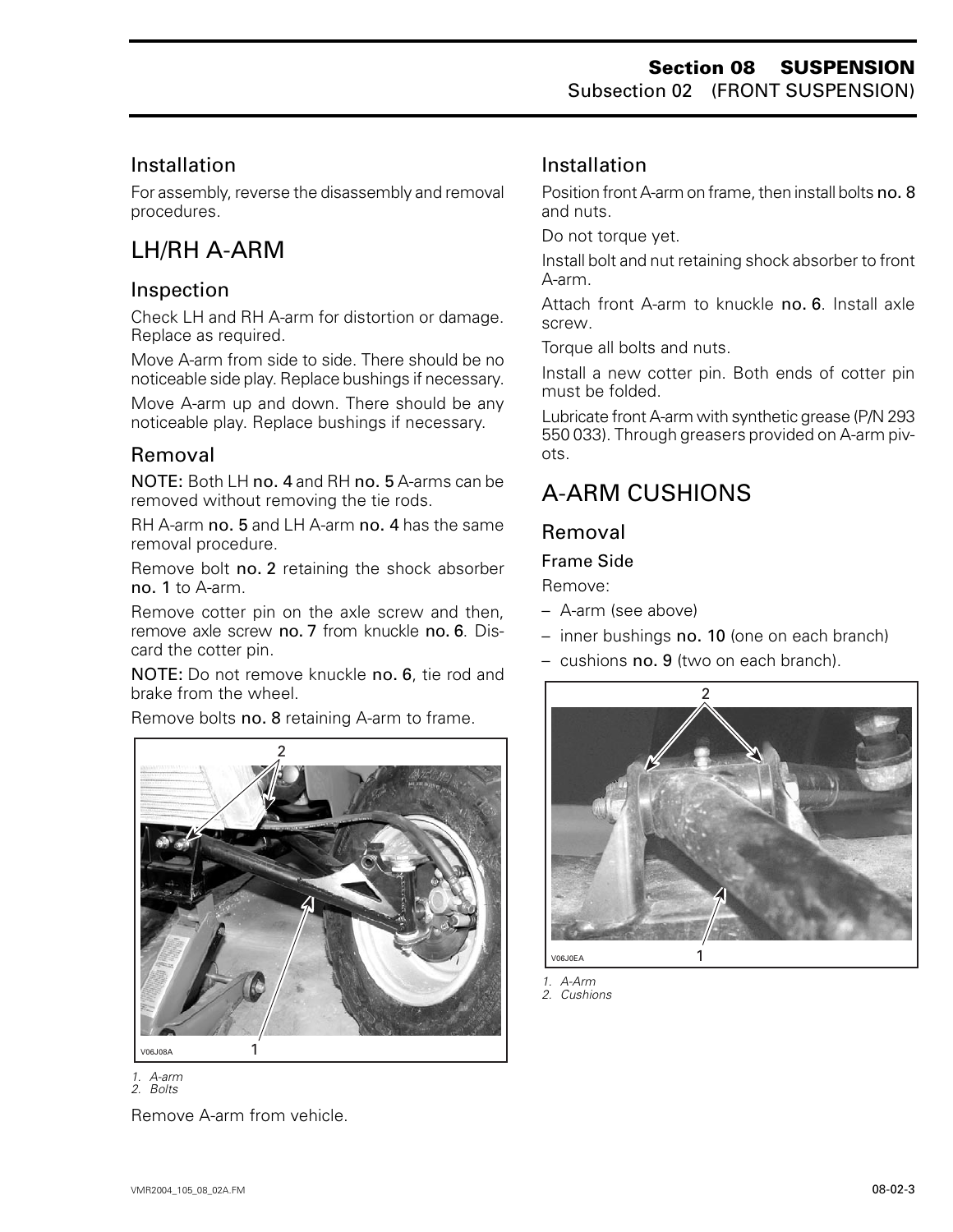## Installation

For assembly, reverse the disassembly and removal procedures.

# <span id="page-3-0"></span>LH/RH A-ARM

### Inspection

Check LH and RH A-arm for distortion or damage. Replace as required.

Move A-arm from side to side. There should be no noticeable side play. Replace bushings if necessary.

Move A-arm up and down. There should be any noticeable play. Replace bushings if necessary.

#### Removal

NOTE: Both LH no. 4 and RH no. 5 A-arms can be removed without removing the tie rods.

RH A-arm no. 5 and LH A-arm no. 4 has the same removal procedure.

Remove bolt no. 2 retaining the shock absorber no. 1 to A-arm.

Remove cotter pin on the axle screw and then, remove axle screw no. 7 from knuckle no. 6. Discard the cotter pin.

NOTE: Do not remove knuckle no. 6, tie rod and brake from the wheel.

Remove bolts no. 8 retaining A-arm to frame.



*1. A-arm 2. Bolts* Remove A-arm from vehicle.

## Installation

Position front A-arm on frame, then install bolts no. 8 and nuts.

Do not torque yet.

Install bolt and nut retaining shock absorber to front A-arm.

Attach front A-arm to knuckle no. 6. Install axle screw.

Torque all bolts and nuts.

Install a new cotter pin. Both ends of cotter pin must be folded.

Lubricate front A-arm with synthetic grease (P/N 293 550 033). Through greasers provided on A-arm pivots.

# A-ARM CUSHIONS

#### Removal

#### Frame Side

Remove:

- A-arm (see above)
- inner bushings no. 10 (one on each branch)
- cushions no. 9 (two on each branch).



*1. A-Arm*

*2. Cushions*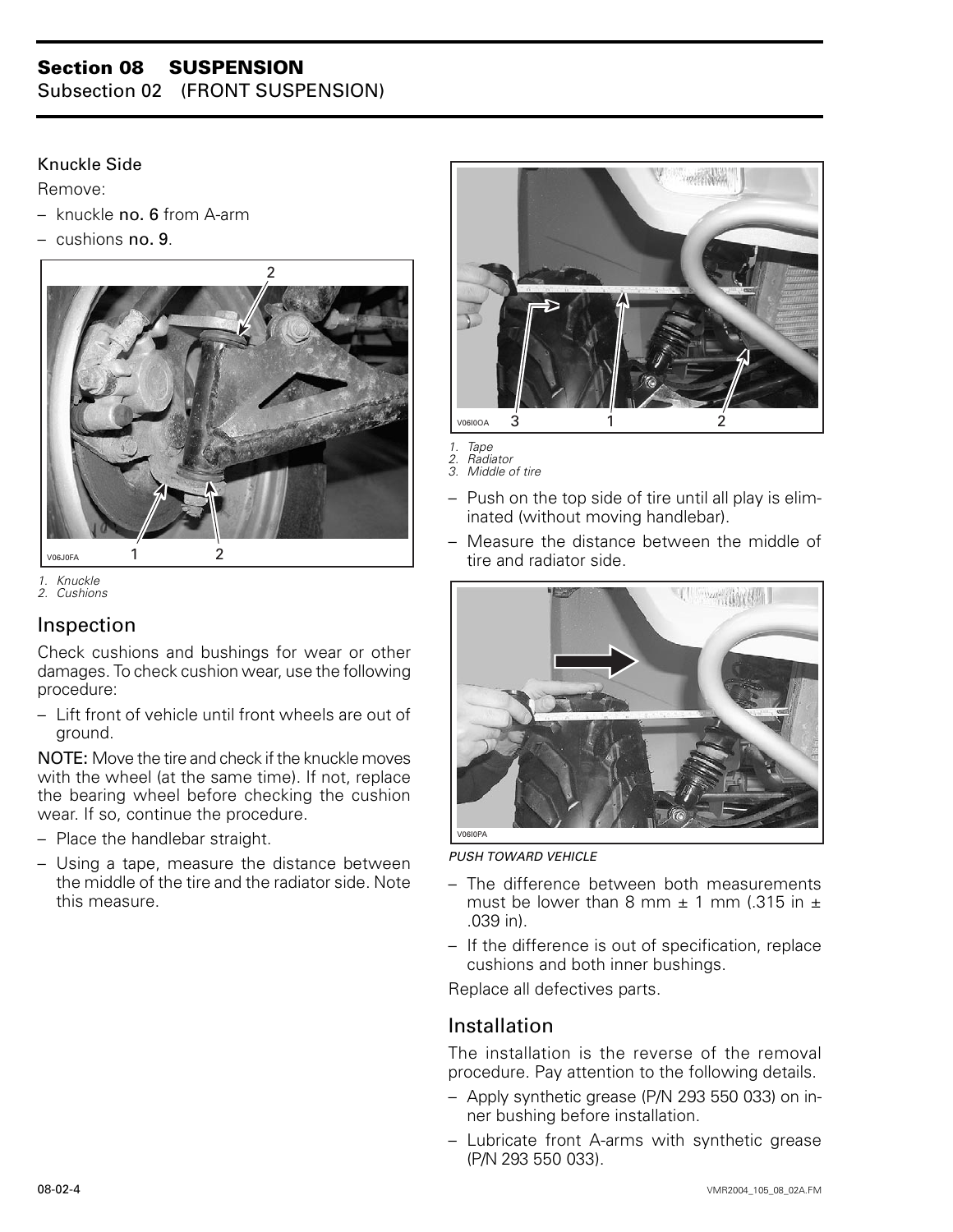# **Section 08 SUSPENSION**

Subsection 02 (FRONT SUSPENSION)

#### Knuckle Side

Remove:

- $-$  knuckle no. 6 from A-arm
- cushions no. 9.





*2. Cushions*

#### Inspection

Check cushions and bushings for wear or other damages. To check cushion wear, use the following procedure:

– Lift front of vehicle until front wheels are out of ground.

NOTE: Move the tire and check if the knuckle moves with the wheel (at the same time). If not, replace the bearing wheel before checking the cushion wear. If so, continue the procedure.

- Place the handlebar straight.
- Using a tape, measure the distance between the middle of the tire and the radiator side. Note this measure.



- *1. Tape 2. Radiator 3. Middle of tire*
- Push on the top side of tire until all play is eliminated (without moving handlebar).
- Measure the distance between the middle of tire and radiator side.



*PUSH TOWARD VEHICLE*

- The difference between both measurements must be lower than 8 mm  $\pm$  1 mm (.315 in  $\pm$ .039 in).
- If the difference is out of specification, replace cushions and both inner bushings.

Replace all defectives parts.

#### Installation

The installation is the reverse of the removal procedure. Pay attention to the following details.

- Apply synthetic grease (P/N 293 550 033) on inner bushing before installation.
- Lubricate front A-arms with synthetic grease (P/N 293 550 033).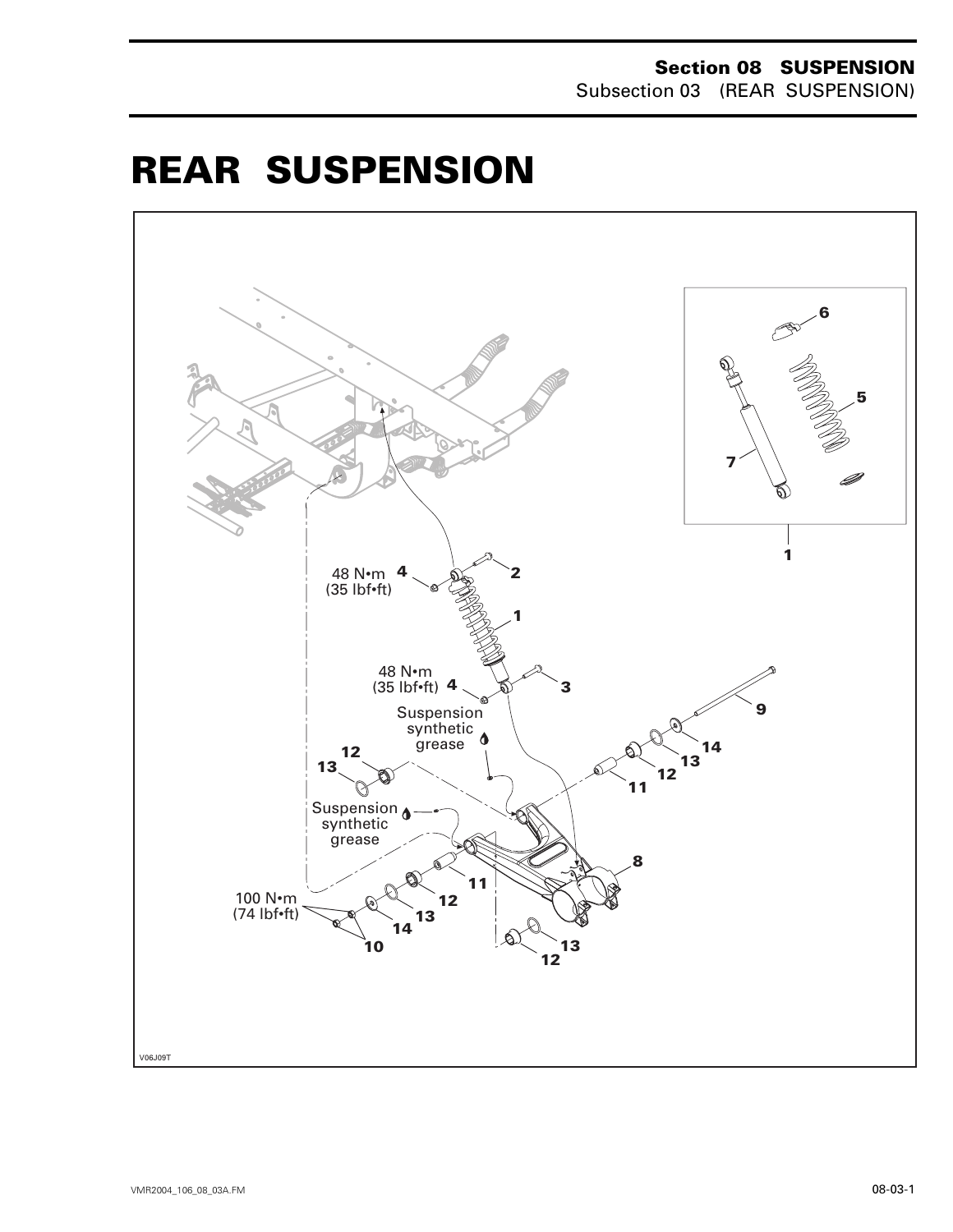#### **Section 08 SUSPENSION** Subsection 03 (REAR SUSPENSION)

# <span id="page-5-0"></span>**REAR SUSPENSION 0**

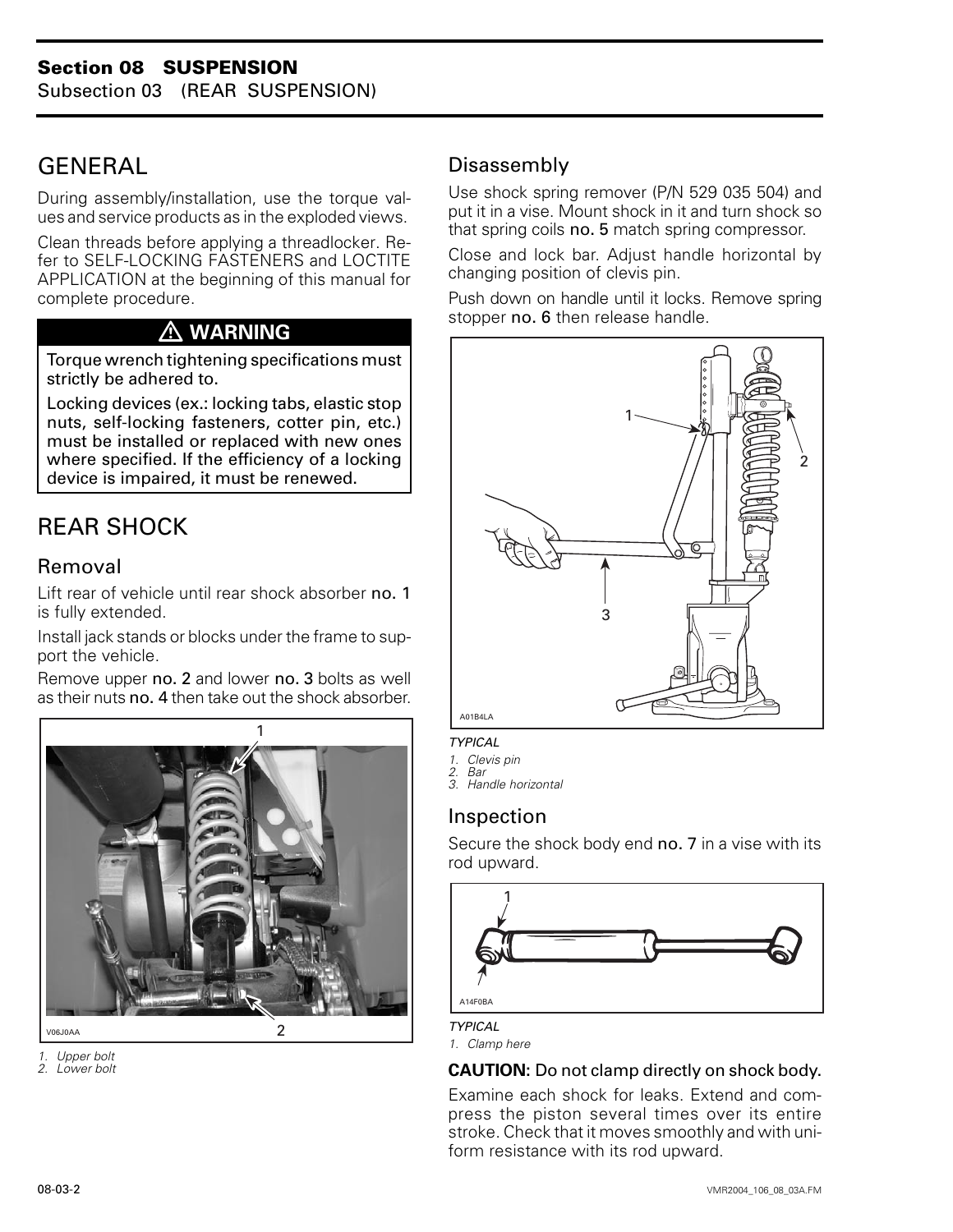# <span id="page-6-0"></span>**GENERAL**

During assembly/installation, use the torque values and service products as in the exploded views.

Clean threads before applying a threadlocker. Refer to SELF-LOCKING FASTENERS and LOCTITE APPLICATION at the beginning of this manual for complete procedure.

# **WARNING**

Torque wrench tightening specifications must strictly be adhered to.

Locking devices (ex.: locking tabs, elastic stop nuts, self-locking fasteners, cotter pin, etc.) must be installed or replaced with new ones where specified. If the efficiency of a locking device is impaired, it must be renewed.

# REAR SHOCK

## Removal

Lift rear of vehicle until rear shock absorber no. 1 is fully extended.

Install jack stands or blocks under the frame to support the vehicle.

Remove upper no. 2 and lower no. 3 bolts as well as their nuts no. 4 then take out the shock absorber.



*1. Upper bolt*

*2. Lower bolt*

## Disassembly

Use shock spring remover (P/N 529 035 504) and put it in a vise. Mount shock in it and turn shock so that spring coils no. 5 match spring compressor.

Close and lock bar. Adjust handle horizontal by changing position of clevis pin.

Push down on handle until it locks. Remove spring stopper no. 6 then release handle.



#### *TYPICAL*

*1. Clevis pin*

*2. Bar*

*3. Handle horizontal*

#### Inspection

Secure the shock body end no. 7 in a vise with its rod upward.



*TYPICAL*

*1. Clamp here*

#### **CAUTION:** Do not clamp directly on shock body.

Examine each shock for leaks. Extend and compress the piston several times over its entire stroke. Check that it moves smoothly and with uniform resistance with its rod upward.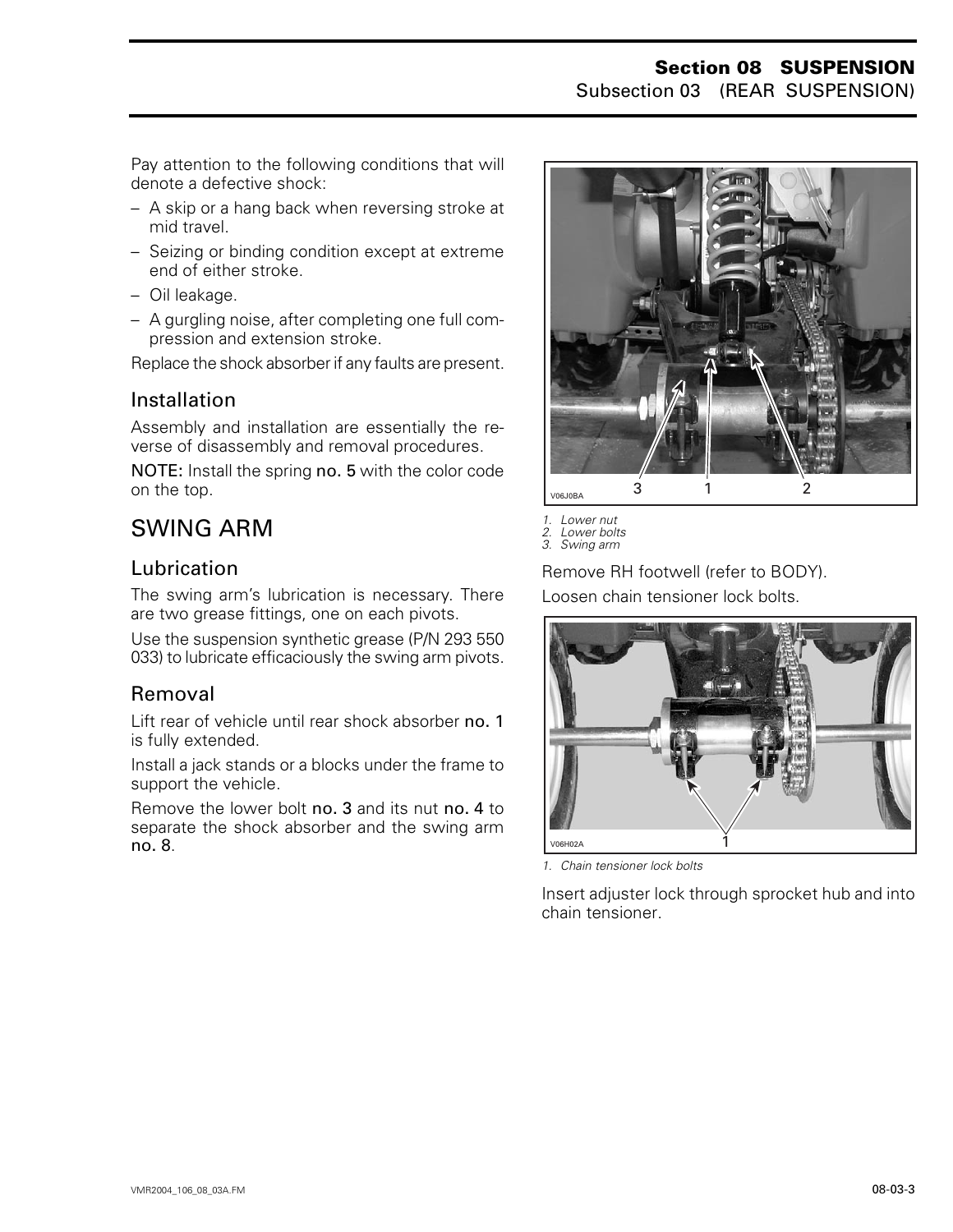Pay attention to the following conditions that will denote a defective shock:

- A skip or a hang back when reversing stroke at mid travel.
- Seizing or binding condition except at extreme end of either stroke.
- Oil leakage.
- A gurgling noise, after completing one full compression and extension stroke.

Replace the shock absorber if any faults are present.

#### **Installation**

Assembly and installation are essentially the reverse of disassembly and removal procedures.

NOTE: Install the spring no. 5 with the color code on the top.

# <span id="page-7-0"></span>SWING ARM

#### Lubrication

The swing arm's lubrication is necessary. There are two grease fittings, one on each pivots.

Use the suspension synthetic grease (P/N 293 550 033) to lubricate efficaciously the swing arm pivots.

## Removal

Lift rear of vehicle until rear shock absorber no. 1 is fully extended.

Install a jack stands or a blocks under the frame to support the vehicle.

Remove the lower bolt no. 3 and its nut no. 4 to separate the shock absorber and the swing arm no. 8.



*1. Lower nut 2. Lower bolts*

*3. Swing arm*

Remove RH footwell (refer to BODY). Loosen chain tensioner lock bolts.



*1. Chain tensioner lock bolts*

Insert adjuster lock through sprocket hub and into chain tensioner.